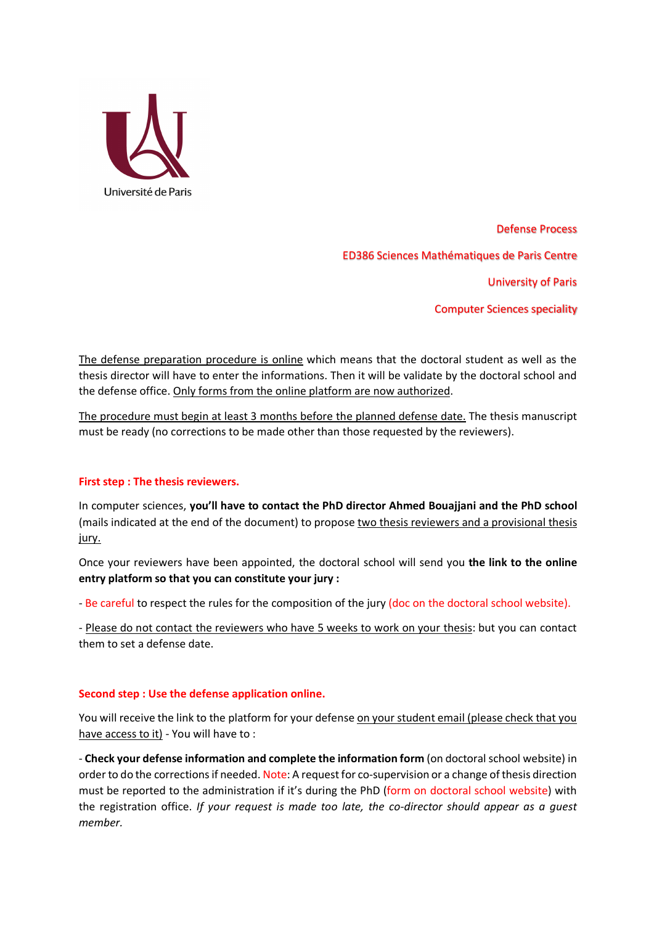

Defense Process ED386 Sciences Mathématiques de Paris Centre University of Paris Computer Sciences speciality

The defense preparation procedure is online which means that the doctoral student as well as the thesis director will have to enter the informations. Then it will be validate by the doctoral school and the defense office. Only forms from the online platform are now authorized.

The procedure must begin at least 3 months before the planned defense date. The thesis manuscript must be ready (no corrections to be made other than those requested by the reviewers).

## **First step : The thesis reviewers.**

In computer sciences, **you'll have to contact the PhD director Ahmed Bouajjani and the PhD school**  (mails indicated at the end of the document) to propose two thesis reviewers and a provisional thesis jury.

Once your reviewers have been appointed, the doctoral school will send you **the link to the online entry platform so that you can constitute your jury :**

- Be careful to respect the rules for the composition of the jury (doc on the doctoral school website).

- Please do not contact the reviewers who have 5 weeks to work on your thesis: but you can contact them to set a defense date.

## **Second step : Use the defense application online.**

You will receive the link to the platform for your defense on your student email (please check that you have access to it) - You will have to :

- **Check your defense information and complete the information form** (on doctoral school website) in order to do the corrections if needed. Note: A request for co-supervision or a change of thesis direction must be reported to the administration if it's during the PhD (form on doctoral school website) with the registration office. *If your request is made too late, the co-director should appear as a guest member.*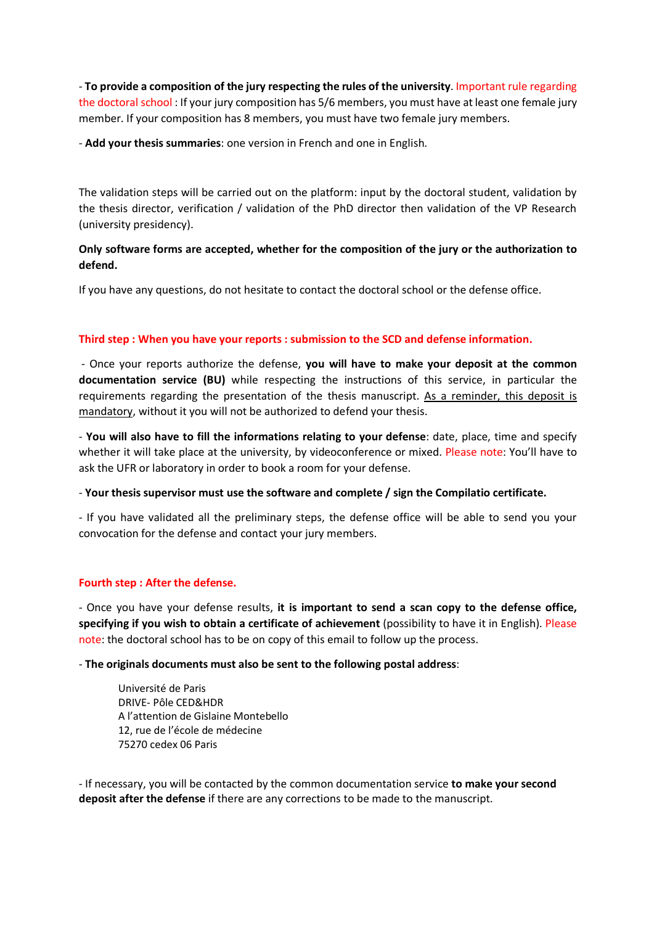- **To provide a composition of the jury respecting the rules of the university**. Important rule regarding the doctoral school : If your jury composition has 5/6 members, you must have at least one female jury member. If your composition has 8 members, you must have two female jury members.

- **Add your thesis summaries**: one version in French and one in English.

The validation steps will be carried out on the platform: input by the doctoral student, validation by the thesis director, verification / validation of the PhD director then validation of the VP Research (university presidency).

# **Only software forms are accepted, whether for the composition of the jury or the authorization to defend.**

If you have any questions, do not hesitate to contact the doctoral school or the defense office.

## **Third step : When you have your reports : submission to the SCD and defense information.**

- Once your reports authorize the defense, **you will have to make your deposit at the common documentation service (BU)** while respecting the instructions of this service, in particular the requirements regarding the presentation of the thesis manuscript. As a reminder, this deposit is mandatory, without it you will not be authorized to defend your thesis.

- **You will also have to fill the informations relating to your defense**: date, place, time and specify whether it will take place at the university, by videoconference or mixed. Please note: You'll have to ask the UFR or laboratory in order to book a room for your defense.

- **Your thesis supervisor must use the software and complete / sign the Compilatio certificate.**

- If you have validated all the preliminary steps, the defense office will be able to send you your convocation for the defense and contact your jury members.

## **Fourth step : After the defense.**

- Once you have your defense results, **it is important to send a scan copy to the defense office, specifying if you wish to obtain a certificate of achievement** (possibility to have it in English). Please note: the doctoral school has to be on copy of this email to follow up the process.

- **The originals documents must also be sent to the following postal address**:

Université de Paris DRIVE- Pôle CED&HDR A l'attention de Gislaine Montebello 12, rue de l'école de médecine 75270 cedex 06 Paris

- If necessary, you will be contacted by the common documentation service **to make your second deposit after the defense** if there are any corrections to be made to the manuscript.